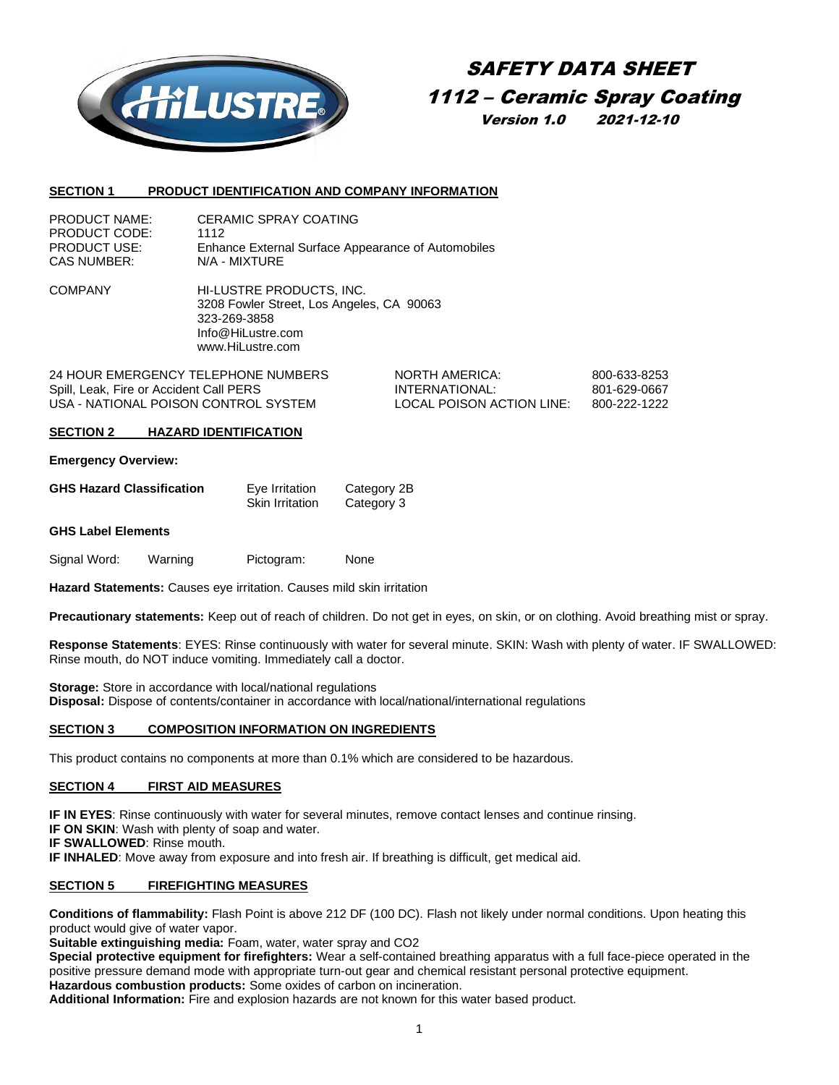

# SAFETY DATA SHEET 1112 – Ceramic Spray Coating Version 1.0 2021-12-10

#### **SECTION 1 PRODUCT IDENTIFICATION AND COMPANY INFORMATION**

| <b>PRODUCT NAME:</b> | <b>CERAMIC SPRAY COATING</b>                       |
|----------------------|----------------------------------------------------|
| PRODUCT CODE:        | 1112                                               |
| <b>PRODUCT USE:</b>  | Enhance External Surface Appearance of Automobiles |
| CAS NUMBER:          | N/A - MIXTURE                                      |

COMPANY HI-LUSTRE PRODUCTS, INC. 3208 Fowler Street, Los Angeles, CA 90063 323-269-3858 Info@HiLustre.com www.HiLustre.com

24 HOUR EMERGENCY TELEPHONE NUMBERS NORTH AMERICA: 800-633-8253 Spill, Leak, Fire or Accident Call PERS **INTERNATIONAL:** 801-629-0667 USA - NATIONAL POISON CONTROL SYSTEM LOCAL POISON ACTION LINE: 800-222-1222

#### **SECTION 2 HAZARD IDENTIFICATION**

#### **Emergency Overview:**

| <b>GHS Hazard Classification</b> | Eye Irritation         | Category 2B |
|----------------------------------|------------------------|-------------|
|                                  | <b>Skin Irritation</b> | Category 3  |

#### **GHS Label Elements**

Signal Word: Warning Pictogram: None

**Hazard Statements:** Causes eye irritation. Causes mild skin irritation

**Precautionary statements:** Keep out of reach of children. Do not get in eyes, on skin, or on clothing. Avoid breathing mist or spray.

**Response Statements**: EYES: Rinse continuously with water for several minute. SKIN: Wash with plenty of water. IF SWALLOWED: Rinse mouth, do NOT induce vomiting. Immediately call a doctor.

**Storage:** Store in accordance with local/national regulations **Disposal:** Dispose of contents/container in accordance with local/national/international regulations

## **SECTION 3 COMPOSITION INFORMATION ON INGREDIENTS**

This product contains no components at more than 0.1% which are considered to be hazardous.

## **SECTION 4 FIRST AID MEASURES**

**IF IN EYES:** Rinse continuously with water for several minutes, remove contact lenses and continue rinsing.

**IF ON SKIN**: Wash with plenty of soap and water.

**IF SWALLOWED**: Rinse mouth.

**IF INHALED**: Move away from exposure and into fresh air. If breathing is difficult, get medical aid.

## **SECTION 5 FIREFIGHTING MEASURES**

**Conditions of flammability:** Flash Point is above 212 DF (100 DC). Flash not likely under normal conditions. Upon heating this product would give of water vapor.

**Suitable extinguishing media:** Foam, water, water spray and CO2

**Special protective equipment for firefighters:** Wear a self-contained breathing apparatus with a full face-piece operated in the positive pressure demand mode with appropriate turn-out gear and chemical resistant personal protective equipment. **Hazardous combustion products:** Some oxides of carbon on incineration.

**Additional Information:** Fire and explosion hazards are not known for this water based product.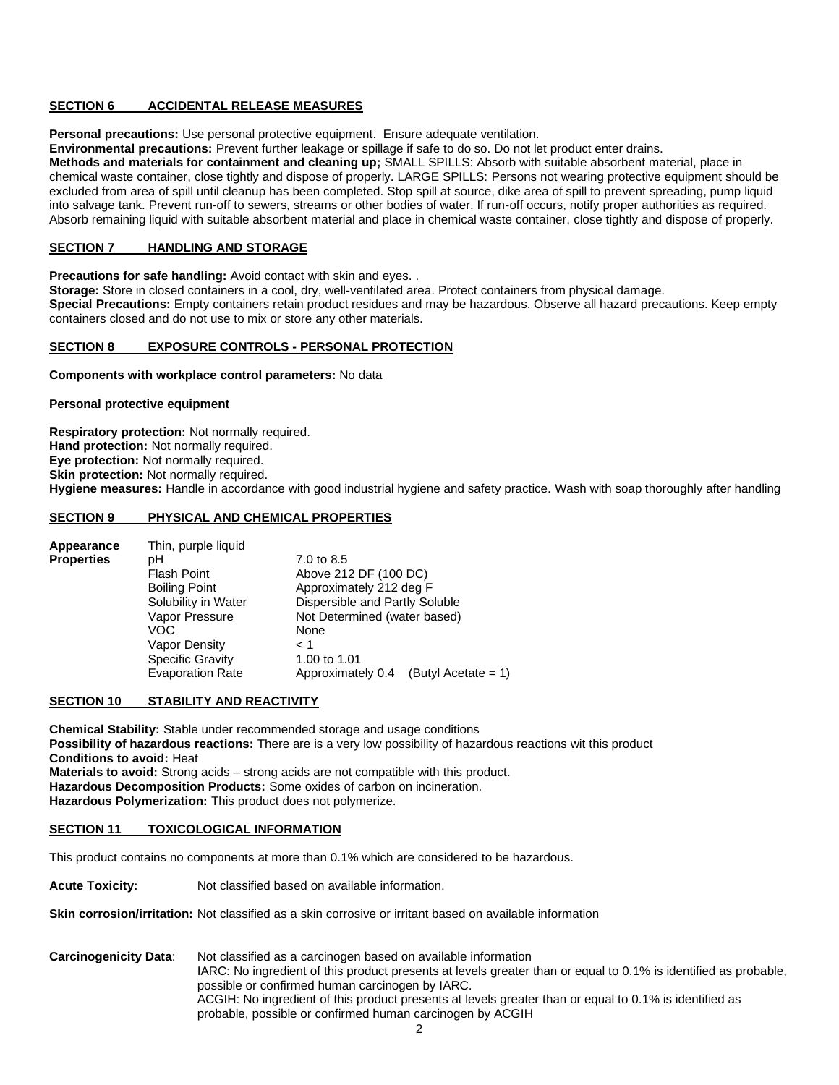## **SECTION 6 ACCIDENTAL RELEASE MEASURES**

**Personal precautions:** Use personal protective equipment. Ensure adequate ventilation.

**Environmental precautions:** Prevent further leakage or spillage if safe to do so. Do not let product enter drains.

**Methods and materials for containment and cleaning up;** SMALL SPILLS: Absorb with suitable absorbent material, place in chemical waste container, close tightly and dispose of properly. LARGE SPILLS: Persons not wearing protective equipment should be excluded from area of spill until cleanup has been completed. Stop spill at source, dike area of spill to prevent spreading, pump liquid into salvage tank. Prevent run-off to sewers, streams or other bodies of water. If run-off occurs, notify proper authorities as required. Absorb remaining liquid with suitable absorbent material and place in chemical waste container, close tightly and dispose of properly.

## **SECTION 7 HANDLING AND STORAGE**

**Precautions for safe handling:** Avoid contact with skin and eyes. .

**Storage:** Store in closed containers in a cool, dry, well-ventilated area. Protect containers from physical damage. **Special Precautions:** Empty containers retain product residues and may be hazardous. Observe all hazard precautions. Keep empty containers closed and do not use to mix or store any other materials.

## **SECTION 8 EXPOSURE CONTROLS - PERSONAL PROTECTION**

**Components with workplace control parameters:** No data

#### **Personal protective equipment**

**Respiratory protection:** Not normally required. **Hand protection:** Not normally required. **Eye protection:** Not normally required. **Skin protection: Not normally required. Hygiene measures:** Handle in accordance with good industrial hygiene and safety practice. Wash with soap thoroughly after handling

#### **SECTION 9 PHYSICAL AND CHEMICAL PROPERTIES**

| Appearance        | Thin, purple liquid     |                                          |
|-------------------|-------------------------|------------------------------------------|
| <b>Properties</b> | pН                      | 7.0 to 8.5                               |
|                   | <b>Flash Point</b>      | Above 212 DF (100 DC)                    |
|                   | <b>Boiling Point</b>    | Approximately 212 deg F                  |
|                   | Solubility in Water     | Dispersible and Partly Soluble           |
|                   | Vapor Pressure          | Not Determined (water based)             |
|                   | VOC                     | None                                     |
|                   | Vapor Density           | $\leq 1$                                 |
|                   | <b>Specific Gravity</b> | 1.00 to 1.01                             |
|                   | <b>Evaporation Rate</b> | Approximately 0.4<br>(Butyl Acetate = 1) |

## **SECTION 10 STABILITY AND REACTIVITY**

**Chemical Stability:** Stable under recommended storage and usage conditions **Possibility of hazardous reactions:** There are is a very low possibility of hazardous reactions wit this product **Conditions to avoid:** Heat **Materials to avoid:** Strong acids – strong acids are not compatible with this product. **Hazardous Decomposition Products:** Some oxides of carbon on incineration. **Hazardous Polymerization:** This product does not polymerize.

#### **SECTION 11 TOXICOLOGICAL INFORMATION**

This product contains no components at more than 0.1% which are considered to be hazardous.

**Acute Toxicity:** Not classified based on available information.

**Skin corrosion/irritation:** Not classified as a skin corrosive or irritant based on available information

**Carcinogenicity Data**: Not classified as a carcinogen based on available information IARC: No ingredient of this product presents at levels greater than or equal to 0.1% is identified as probable, possible or confirmed human carcinogen by IARC. ACGIH: No ingredient of this product presents at levels greater than or equal to 0.1% is identified as probable, possible or confirmed human carcinogen by ACGIH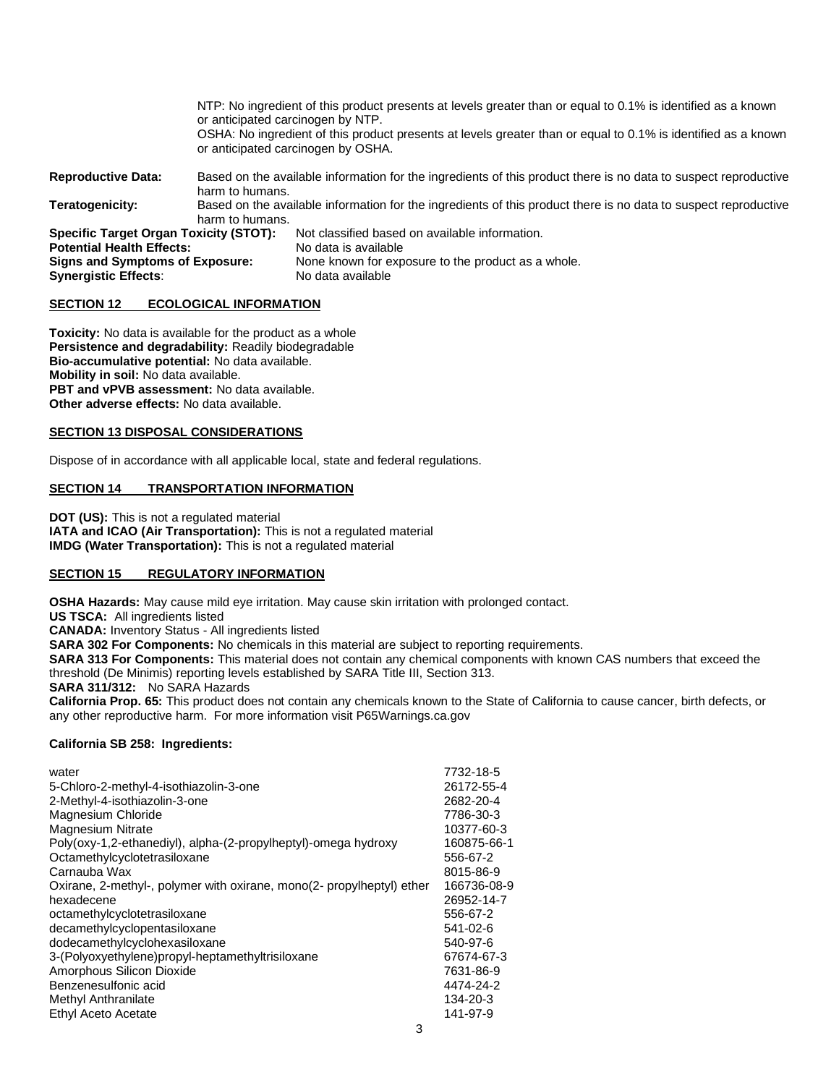|                                                                                                                                                            | or anticipated carcinogen by NTP. | NTP: No ingredient of this product presents at levels greater than or equal to 0.1% is identified as a known<br>OSHA: No ingredient of this product presents at levels greater than or equal to 0.1% is identified as a known<br>or anticipated carcinogen by OSHA. |
|------------------------------------------------------------------------------------------------------------------------------------------------------------|-----------------------------------|---------------------------------------------------------------------------------------------------------------------------------------------------------------------------------------------------------------------------------------------------------------------|
| <b>Reproductive Data:</b>                                                                                                                                  | harm to humans.                   | Based on the available information for the ingredients of this product there is no data to suspect reproductive                                                                                                                                                     |
| Teratogenicity:                                                                                                                                            | harm to humans.                   | Based on the available information for the ingredients of this product there is no data to suspect reproductive                                                                                                                                                     |
| <b>Specific Target Organ Toxicity (STOT):</b><br><b>Potential Health Effects:</b><br><b>Signs and Symptoms of Exposure:</b><br><b>Synergistic Effects:</b> |                                   | Not classified based on available information.<br>No data is available<br>None known for exposure to the product as a whole.<br>No data available                                                                                                                   |

#### **SECTION 12 ECOLOGICAL INFORMATION**

**Toxicity:** No data is available for the product as a whole **Persistence and degradability:** Readily biodegradable **Bio-accumulative potential:** No data available. **Mobility in soil:** No data available. **PBT and vPVB assessment:** No data available. **Other adverse effects:** No data available.

#### **SECTION 13 DISPOSAL CONSIDERATIONS**

Dispose of in accordance with all applicable local, state and federal regulations.

## **SECTION 14 TRANSPORTATION INFORMATION**

**DOT (US):** This is not a regulated material **IATA and ICAO (Air Transportation):** This is not a regulated material **IMDG (Water Transportation):** This is not a regulated material

## **SECTION 15 REGULATORY INFORMATION**

**OSHA Hazards:** May cause mild eye irritation. May cause skin irritation with prolonged contact.

**US TSCA:** All ingredients listed

**CANADA:** Inventory Status - All ingredients listed

**SARA 302 For Components:** No chemicals in this material are subject to reporting requirements.

**SARA 313 For Components:** This material does not contain any chemical components with known CAS numbers that exceed the threshold (De Minimis) reporting levels established by SARA Title III, Section 313.

**SARA 311/312:** No SARA Hazards

**California Prop. 65:** This product does not contain any chemicals known to the State of California to cause cancer, birth defects, or any other reproductive harm. For more information visit P65Warnings.ca.gov

## **California SB 258: Ingredients:**

| water                                                                 | 7732-18-5   |
|-----------------------------------------------------------------------|-------------|
| 5-Chloro-2-methyl-4-isothiazolin-3-one                                | 26172-55-4  |
| 2-Methyl-4-isothiazolin-3-one                                         | 2682-20-4   |
| Magnesium Chloride                                                    | 7786-30-3   |
| <b>Magnesium Nitrate</b>                                              | 10377-60-3  |
| Poly(oxy-1,2-ethanediyl), alpha-(2-propylheptyl)-omega hydroxy        | 160875-66-1 |
| Octamethylcyclotetrasiloxane                                          | 556-67-2    |
| Carnauba Wax                                                          | 8015-86-9   |
| Oxirane, 2-methyl-, polymer with oxirane, mono(2- propylheptyl) ether | 166736-08-9 |
| hexadecene                                                            | 26952-14-7  |
| octamethylcyclotetrasiloxane                                          | 556-67-2    |
| decamethylcyclopentasiloxane                                          | 541-02-6    |
| dodecamethylcyclohexasiloxane                                         | 540-97-6    |
| 3-(Polyoxyethylene)propyl-heptamethyltrisiloxane                      | 67674-67-3  |
| Amorphous Silicon Dioxide                                             | 7631-86-9   |
| Benzenesulfonic acid                                                  | 4474-24-2   |
| Methyl Anthranilate                                                   | 134-20-3    |
| Ethyl Aceto Acetate                                                   | 141-97-9    |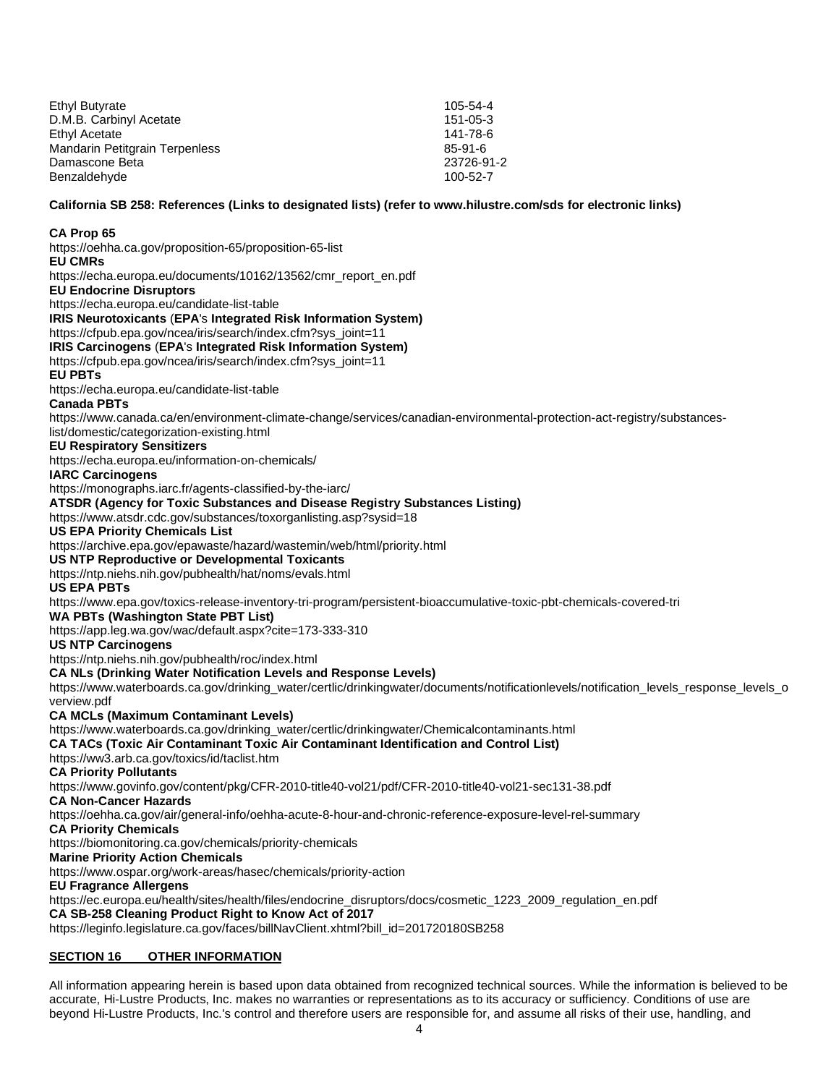| Ethyl Butyrate                 | $105 - 54 - 4$ |
|--------------------------------|----------------|
| D.M.B. Carbinyl Acetate        | $151 - 05 - 3$ |
| Ethyl Acetate                  | 141-78-6       |
| Mandarin Petitgrain Terpenless | 85-91-6        |
| Damascone Beta                 | 23726-91-2     |
| Benzaldehyde                   | 100-52-7       |

**California SB 258: References (Links to designated lists) (refer t[o www.hilustre.com/sds](http://www.hilustre.com/sds) for electronic links)**

#### **CA Prop 65**

<https://oehha.ca.gov/proposition-65/proposition-65-list> **EU CMRs** [https://echa.europa.eu/documents/10162/13562/cmr\\_report\\_en.pdf](https://echa.europa.eu/documents/10162/13562/cmr_report_en.pdf) **EU Endocrine Disruptors** <https://echa.europa.eu/candidate-list-table> **IRIS Neurotoxicants** (**EPA**'s **Integrated Risk Information System)** [https://cfpub.epa.gov/ncea/iris/search/index.cfm?sys\\_joint=11](https://cfpub.epa.gov/ncea/iris/search/index.cfm?sys_joint=11) **IRIS Carcinogens** (**EPA**'s **Integrated Risk Information System)** [https://cfpub.epa.gov/ncea/iris/search/index.cfm?sys\\_joint=11](https://cfpub.epa.gov/ncea/iris/search/index.cfm?sys_joint=11) **EU PBTs** <https://echa.europa.eu/candidate-list-table> **Canada PBTs** [https://www.canada.ca/en/environment-climate-change/services/canadian-environmental-protection-act-registry/substances](https://www.canada.ca/en/environment-climate-change/services/canadian-environmental-protection-act-registry/substances-list/domestic/categorization-existing.html)[list/domestic/categorization-existing.html](https://www.canada.ca/en/environment-climate-change/services/canadian-environmental-protection-act-registry/substances-list/domestic/categorization-existing.html) **EU Respiratory Sensitizers** <https://echa.europa.eu/information-on-chemicals/> **IARC Carcinogens** <https://monographs.iarc.fr/agents-classified-by-the-iarc/> **ATSDR (Agency for Toxic Substances and Disease Registry Substances Listing)** <https://www.atsdr.cdc.gov/substances/toxorganlisting.asp?sysid=18> **US EPA Priority Chemicals List** <https://archive.epa.gov/epawaste/hazard/wastemin/web/html/priority.html> **US NTP Reproductive or Developmental Toxicants** <https://ntp.niehs.nih.gov/pubhealth/hat/noms/evals.html> **US EPA PBTs** <https://www.epa.gov/toxics-release-inventory-tri-program/persistent-bioaccumulative-toxic-pbt-chemicals-covered-tri> **WA PBTs (Washington State PBT List)** <https://app.leg.wa.gov/wac/default.aspx?cite=173-333-310> **US NTP Carcinogens** <https://ntp.niehs.nih.gov/pubhealth/roc/index.html> **CA NLs (Drinking Water Notification Levels and Response Levels)** [https://www.waterboards.ca.gov/drinking\\_water/certlic/drinkingwater/documents/notificationlevels/notification\\_levels\\_response\\_levels\\_o](https://www.waterboards.ca.gov/drinking_water/certlic/drinkingwater/documents/notificationlevels/notification_levels_response_levels_overview.pdf) [verview.pdf](https://www.waterboards.ca.gov/drinking_water/certlic/drinkingwater/documents/notificationlevels/notification_levels_response_levels_overview.pdf) **CA MCLs (Maximum Contaminant Levels)** [https://www.waterboards.ca.gov/drinking\\_water/certlic/drinkingwater/Chemicalcontaminants.html](https://www.waterboards.ca.gov/drinking_water/certlic/drinkingwater/Chemicalcontaminants.html) **CA TACs (Toxic Air Contaminant Toxic Air Contaminant Identification and Control List)** <https://ww3.arb.ca.gov/toxics/id/taclist.htm> **CA Priority Pollutants** <https://www.govinfo.gov/content/pkg/CFR-2010-title40-vol21/pdf/CFR-2010-title40-vol21-sec131-38.pdf> **CA Non-Cancer Hazards** <https://oehha.ca.gov/air/general-info/oehha-acute-8-hour-and-chronic-reference-exposure-level-rel-summary> **CA Priority Chemicals** <https://biomonitoring.ca.gov/chemicals/priority-chemicals> **Marine Priority Action Chemicals**  <https://www.ospar.org/work-areas/hasec/chemicals/priority-action> **EU Fragrance Allergens**  [https://ec.europa.eu/health/sites/health/files/endocrine\\_disruptors/docs/cosmetic\\_1223\\_2009\\_regulation\\_en.pdf](https://ec.europa.eu/health/sites/health/files/endocrine_disruptors/docs/cosmetic_%20%20%20%20%20%20%20%20%20%20%20%20%20%20%20%20%20%20%20%20%20%20%20%20%20%20%20%20%20%20%20%20%20%20%20%20%20%20%20%20%20%20%20%20%20%20%20%20%20%20%20%20%20%20%20%20%20%20%20%20%20%20%20%20%20%20%20%20%20%20%20%20%20%20%20%20%20%20%20%20%20%20%201223_2009_regulation_en.pdf) **CA SB-258 Cleaning Product Right to Know Act of 2017** [https://leginfo.legislature.ca.gov/faces/billNavClient.xhtml?bill\\_id=201720180SB258](https://leginfo.legislature.ca.gov/faces/billNavClient.xhtml?bill_id=201720180SB258)

## **SECTION 16 OTHER INFORMATION**

All information appearing herein is based upon data obtained from recognized technical sources. While the information is believed to be accurate, Hi-Lustre Products, Inc. makes no warranties or representations as to its accuracy or sufficiency. Conditions of use are beyond Hi-Lustre Products, Inc.'s control and therefore users are responsible for, and assume all risks of their use, handling, and